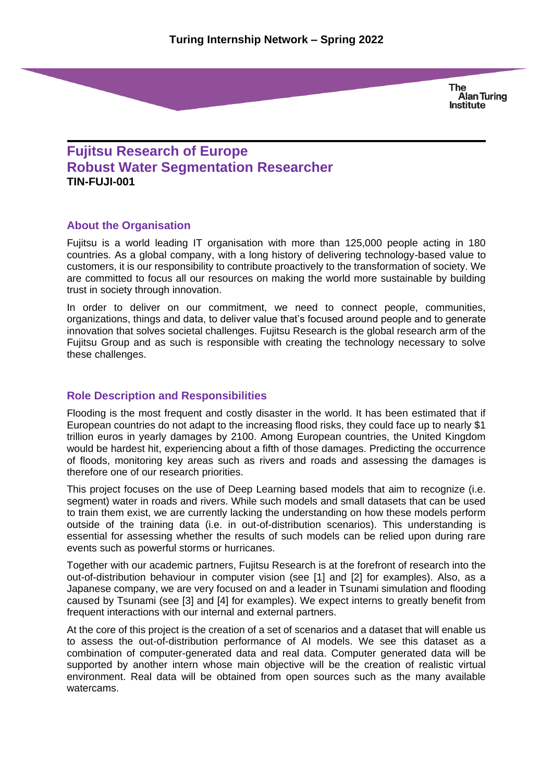**The Alan Turing Institute** 

# **Fujitsu Research of Europe Robust Water Segmentation Researcher TIN-FUJI-001**

#### **About the Organisation**

Fujitsu is a world leading IT organisation with more than 125,000 people acting in 180 countries. As a global company, with a long history of delivering technology-based value to customers, it is our responsibility to contribute proactively to the transformation of society. We are committed to focus all our resources on making the world more sustainable by building trust in society through innovation.

In order to deliver on our commitment, we need to connect people, communities, organizations, things and data, to deliver value that's focused around people and to generate innovation that solves societal challenges. Fujitsu Research is the global research arm of the Fujitsu Group and as such is responsible with creating the technology necessary to solve these challenges.

#### **Role Description and Responsibilities**

Flooding is the most frequent and costly disaster in the world. It has been estimated that if European countries do not adapt to the increasing flood risks, they could face up to nearly \$1 trillion euros in yearly damages by 2100. Among European countries, the United Kingdom would be hardest hit, experiencing about a fifth of those damages. Predicting the occurrence of floods, monitoring key areas such as rivers and roads and assessing the damages is therefore one of our research priorities.

This project focuses on the use of Deep Learning based models that aim to recognize (i.e. segment) water in roads and rivers. While such models and small datasets that can be used to train them exist, we are currently lacking the understanding on how these models perform outside of the training data (i.e. in out-of-distribution scenarios). This understanding is essential for assessing whether the results of such models can be relied upon during rare events such as powerful storms or hurricanes.

Together with our academic partners, Fujitsu Research is at the forefront of research into the out-of-distribution behaviour in computer vision (see [1] and [2] for examples). Also, as a Japanese company, we are very focused on and a leader in Tsunami simulation and flooding caused by Tsunami (see [3] and [4] for examples). We expect interns to greatly benefit from frequent interactions with our internal and external partners.

At the core of this project is the creation of a set of scenarios and a dataset that will enable us to assess the out-of-distribution performance of AI models. We see this dataset as a combination of computer-generated data and real data. Computer generated data will be supported by another intern whose main objective will be the creation of realistic virtual environment. Real data will be obtained from open sources such as the many available watercams.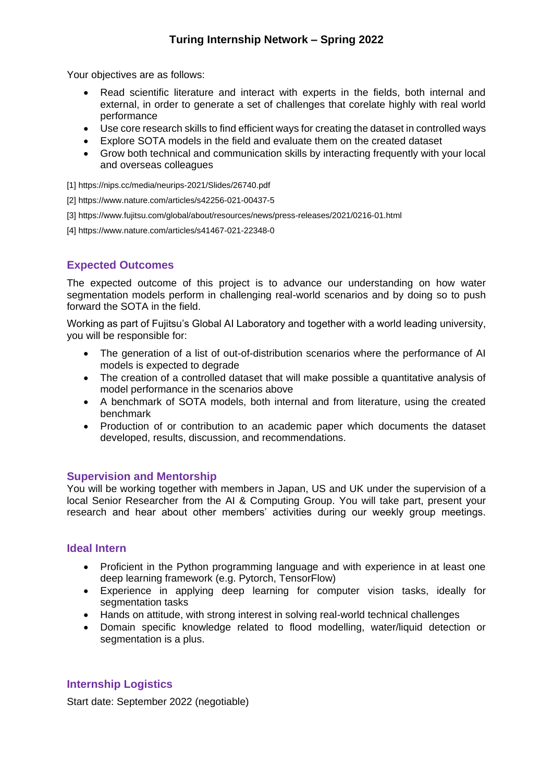Your objectives are as follows:

- Read scientific literature and interact with experts in the fields, both internal and external, in order to generate a set of challenges that corelate highly with real world performance
- Use core research skills to find efficient ways for creating the dataset in controlled ways
- Explore SOTA models in the field and evaluate them on the created dataset
- Grow both technical and communication skills by interacting frequently with your local and overseas colleagues

[1] https://nips.cc/media/neurips-2021/Slides/26740.pdf

[2] https://www.nature.com/articles/s42256-021-00437-5

[3] https://www.fujitsu.com/global/about/resources/news/press-releases/2021/0216-01.html

[4] https://www.nature.com/articles/s41467-021-22348-0

## **Expected Outcomes**

The expected outcome of this project is to advance our understanding on how water segmentation models perform in challenging real-world scenarios and by doing so to push forward the SOTA in the field.

Working as part of Fujitsu's Global AI Laboratory and together with a world leading university, you will be responsible for:

- The generation of a list of out-of-distribution scenarios where the performance of AI models is expected to degrade
- The creation of a controlled dataset that will make possible a quantitative analysis of model performance in the scenarios above
- A benchmark of SOTA models, both internal and from literature, using the created benchmark
- Production of or contribution to an academic paper which documents the dataset developed, results, discussion, and recommendations.

#### **Supervision and Mentorship**

You will be working together with members in Japan, US and UK under the supervision of a local Senior Researcher from the AI & Computing Group. You will take part, present your research and hear about other members' activities during our weekly group meetings.

#### **Ideal Intern**

- Proficient in the Python programming language and with experience in at least one deep learning framework (e.g. Pytorch, TensorFlow)
- Experience in applying deep learning for computer vision tasks, ideally for segmentation tasks
- Hands on attitude, with strong interest in solving real-world technical challenges
- Domain specific knowledge related to flood modelling, water/liquid detection or segmentation is a plus.

#### **Internship Logistics**

Start date: September 2022 (negotiable)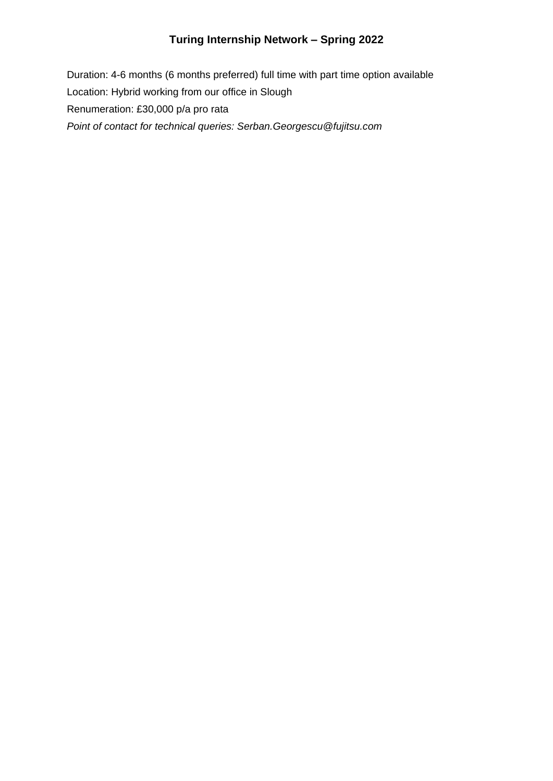## **Turing Internship Network – Spring 2022**

Duration: 4-6 months (6 months preferred) full time with part time option available Location: Hybrid working from our office in Slough Renumeration: £30,000 p/a pro rata *Point of contact for technical queries: Serban.Georgescu@fujitsu.com*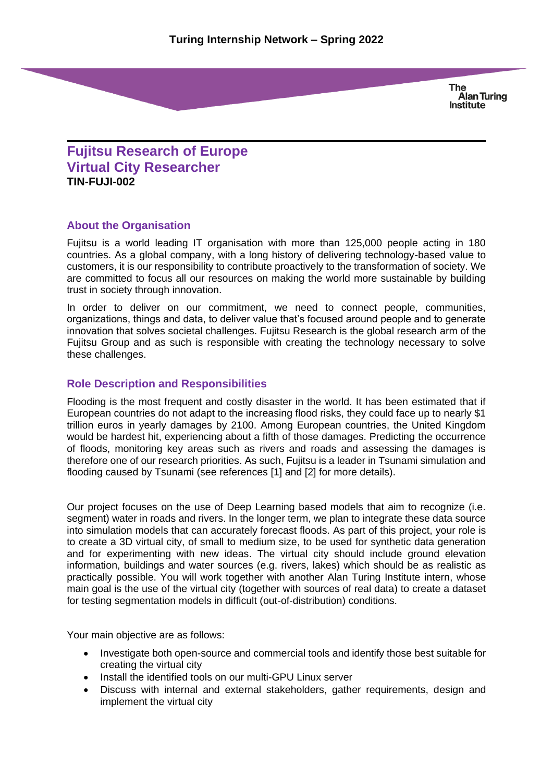**The Alan Turing Institute** 

# **Fujitsu Research of Europe Virtual City Researcher TIN-FUJI-002**

#### **About the Organisation**

Fujitsu is a world leading IT organisation with more than 125,000 people acting in 180 countries. As a global company, with a long history of delivering technology-based value to customers, it is our responsibility to contribute proactively to the transformation of society. We are committed to focus all our resources on making the world more sustainable by building trust in society through innovation.

In order to deliver on our commitment, we need to connect people, communities, organizations, things and data, to deliver value that's focused around people and to generate innovation that solves societal challenges. Fujitsu Research is the global research arm of the Fujitsu Group and as such is responsible with creating the technology necessary to solve these challenges.

#### **Role Description and Responsibilities**

Flooding is the most frequent and costly disaster in the world. It has been estimated that if European countries do not adapt to the increasing flood risks, they could face up to nearly \$1 trillion euros in yearly damages by 2100. Among European countries, the United Kingdom would be hardest hit, experiencing about a fifth of those damages. Predicting the occurrence of floods, monitoring key areas such as rivers and roads and assessing the damages is therefore one of our research priorities. As such, Fujitsu is a leader in Tsunami simulation and flooding caused by Tsunami (see references [1] and [2] for more details).

Our project focuses on the use of Deep Learning based models that aim to recognize (i.e. segment) water in roads and rivers. In the longer term, we plan to integrate these data source into simulation models that can accurately forecast floods. As part of this project, your role is to create a 3D virtual city, of small to medium size, to be used for synthetic data generation and for experimenting with new ideas. The virtual city should include ground elevation information, buildings and water sources (e.g. rivers, lakes) which should be as realistic as practically possible. You will work together with another Alan Turing Institute intern, whose main goal is the use of the virtual city (together with sources of real data) to create a dataset for testing segmentation models in difficult (out-of-distribution) conditions.

Your main objective are as follows:

- Investigate both open-source and commercial tools and identify those best suitable for creating the virtual city
- Install the identified tools on our multi-GPU Linux server
- Discuss with internal and external stakeholders, gather requirements, design and implement the virtual city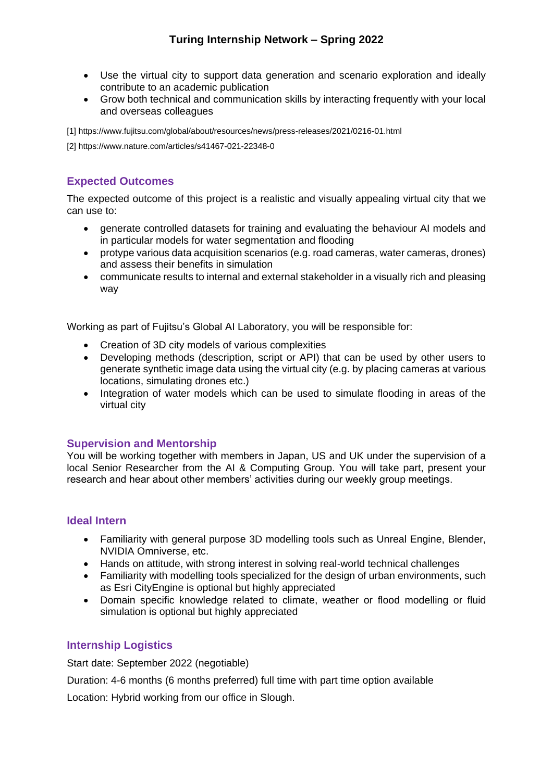- Use the virtual city to support data generation and scenario exploration and ideally contribute to an academic publication
- Grow both technical and communication skills by interacting frequently with your local and overseas colleagues

[1] https://www.fujitsu.com/global/about/resources/news/press-releases/2021/0216-01.html

[2] https://www.nature.com/articles/s41467-021-22348-0

## **Expected Outcomes**

The expected outcome of this project is a realistic and visually appealing virtual city that we can use to:

- generate controlled datasets for training and evaluating the behaviour AI models and in particular models for water segmentation and flooding
- protype various data acquisition scenarios (e.g. road cameras, water cameras, drones) and assess their benefits in simulation
- communicate results to internal and external stakeholder in a visually rich and pleasing way

Working as part of Fujitsu's Global AI Laboratory, you will be responsible for:

- Creation of 3D city models of various complexities
- Developing methods (description, script or API) that can be used by other users to generate synthetic image data using the virtual city (e.g. by placing cameras at various locations, simulating drones etc.)
- Integration of water models which can be used to simulate flooding in areas of the virtual city

#### **Supervision and Mentorship**

You will be working together with members in Japan, US and UK under the supervision of a local Senior Researcher from the AI & Computing Group. You will take part, present your research and hear about other members' activities during our weekly group meetings.

#### **Ideal Intern**

- Familiarity with general purpose 3D modelling tools such as Unreal Engine, Blender, NVIDIA Omniverse, etc.
- Hands on attitude, with strong interest in solving real-world technical challenges
- Familiarity with modelling tools specialized for the design of urban environments, such as Esri CityEngine is optional but highly appreciated
- Domain specific knowledge related to climate, weather or flood modelling or fluid simulation is optional but highly appreciated

#### **Internship Logistics**

Start date: September 2022 (negotiable)

Duration: 4-6 months (6 months preferred) full time with part time option available

Location: Hybrid working from our office in Slough.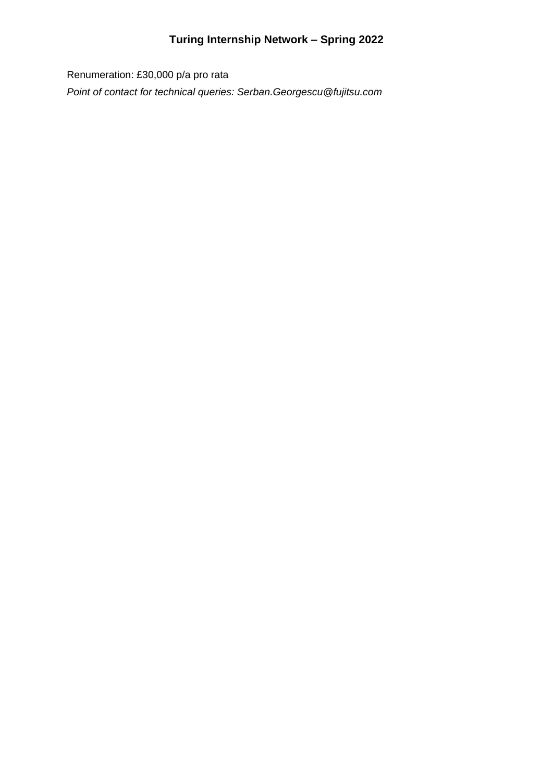# **Turing Internship Network – Spring 2022**

Renumeration: £30,000 p/a pro rata *Point of contact for technical queries: Serban.Georgescu@fujitsu.com*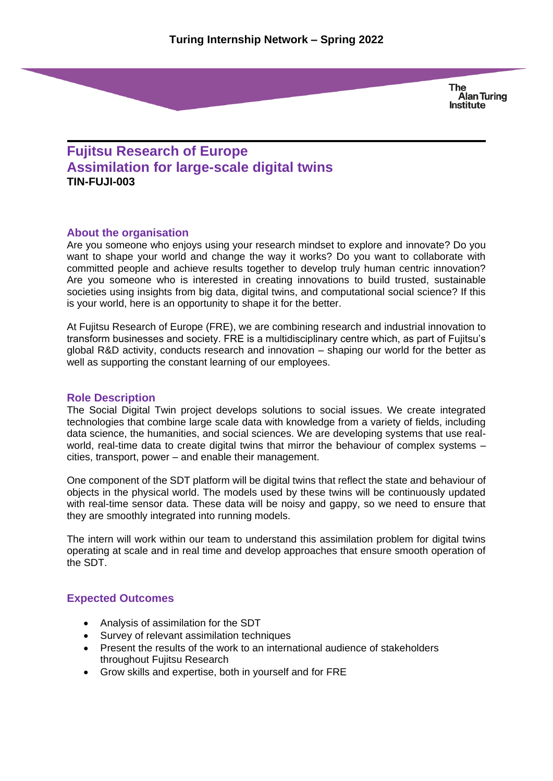**The Alan Turing Institute** 

# **Fujitsu Research of Europe Assimilation for large-scale digital twins TIN-FUJI-003**

#### **About the organisation**

Are you someone who enjoys using your research mindset to explore and innovate? Do you want to shape your world and change the way it works? Do you want to collaborate with committed people and achieve results together to develop truly human centric innovation? Are you someone who is interested in creating innovations to build trusted, sustainable societies using insights from big data, digital twins, and computational social science? If this is your world, here is an opportunity to shape it for the better.

At Fujitsu Research of Europe (FRE), we are combining research and industrial innovation to transform businesses and society. FRE is a multidisciplinary centre which, as part of Fujitsu's global R&D activity, conducts research and innovation – shaping our world for the better as well as supporting the constant learning of our employees.

#### **Role Description**

The Social Digital Twin project develops solutions to social issues. We create integrated technologies that combine large scale data with knowledge from a variety of fields, including data science, the humanities, and social sciences. We are developing systems that use realworld, real-time data to create digital twins that mirror the behaviour of complex systems – cities, transport, power – and enable their management.

One component of the SDT platform will be digital twins that reflect the state and behaviour of objects in the physical world. The models used by these twins will be continuously updated with real-time sensor data. These data will be noisy and gappy, so we need to ensure that they are smoothly integrated into running models.

The intern will work within our team to understand this assimilation problem for digital twins operating at scale and in real time and develop approaches that ensure smooth operation of the SDT.

#### **Expected Outcomes**

- Analysis of assimilation for the SDT
- Survey of relevant assimilation techniques
- Present the results of the work to an international audience of stakeholders throughout Fujitsu Research
- Grow skills and expertise, both in yourself and for FRE